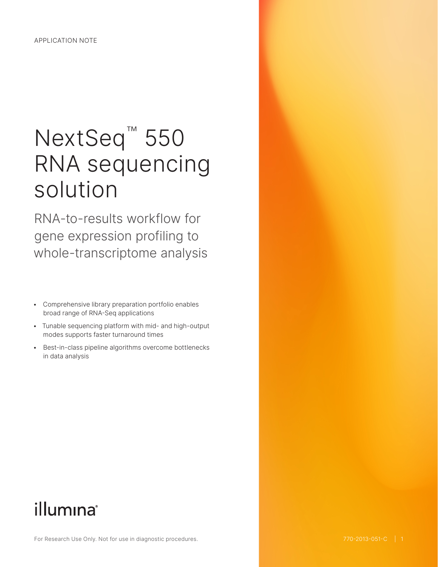# NextSeq<sup>™</sup> 550 RNA sequencing solution

RNA-to-results workflow for gene expression profiling to whole-transcriptome analysis

- Comprehensive library preparation portfolio enables broad range of RNA-Seq applications
- Tunable sequencing platform with mid- and high-output modes supports faster turnaround times
- Best-in-class pipeline algorithms overcome bottlenecks in data analysis

# illumina®

For Research Use Only. Not for use in diagnostic procedures.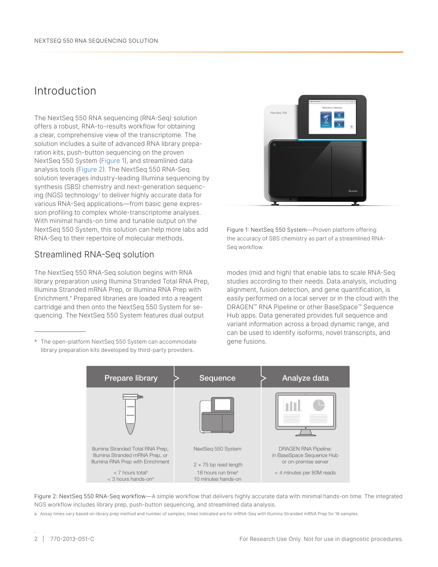## Introduction

The NextSeq 550 RNA sequencing (RNA-Seq) solution offers a robust, RNA-to-results workflow for obtaining a clear, comprehensive view of the transcriptome. The solution includes a suite of advanced RNA library preparation kits, push-button sequencing on the proven NextSeq 550 System (Figure 1), and streamlined data analysis tools (Figure 2). The NextSeq 550 RNA-Seq solution leverages industry-leading Illumina sequencing by synthesis (SBS) chemistry and next-generation sequencing (NGS) technology[1](#page-5-0) to deliver highly accurate data for various RNA-Seq applications—from basic gene expression profiling to complex whole-transcriptome analyses. With minimal hands-on time and tunable output on the NextSeq 550 System, this solution can help more labs add RNA-Seq to their repertoire of molecular methods.

### Streamlined RNA-Seq solution

The NextSeq 550 RNA-Seq solution begins with RNA library preparation using Illumina Stranded Total RNA Prep, Illumina Stranded mRNA Prep, or Illumina RNA Prep with Enrichment.\* Prepared libraries are loaded into a reagent cartridge and then onto the NextSeq 550 System for sequencing. The NextSeq 550 System features dual output

\* The open-platform NextSeq 550 System can accommodate library preparation kits developed by third-party providers.



Figure 1: NextSeq 550 System—Proven platform offering the accuracy of SBS chemistry as part of a streamlined RNA-Seq workflow.

modes (mid and high) that enable labs to scale RNA-Seq studies according to their needs. Data analysis, including alignment, fusion detection, and gene quantification, is easily performed on a local server or in the cloud with the DRAGEN™ RNA Pipeline or other BaseSpace™ Sequence Hub apps. Data generated provides full sequence and variant information across a broad dynamic range, and can be used to identify isoforms, novel transcripts, and gene fusions.



Figure 2: NextSeq 550 RNA-Seq workflow—A simple workflow that delivers highly accurate data with minimal hands-on time. The integrated NGS workflow includes library prep, push-button sequencing, and streamlined data analysis.

a. Assay times vary based on library prep method and number of samples; times indicated are for mRNA-Seq with Illumina Stranded mRNA Prep for 16 samples.

.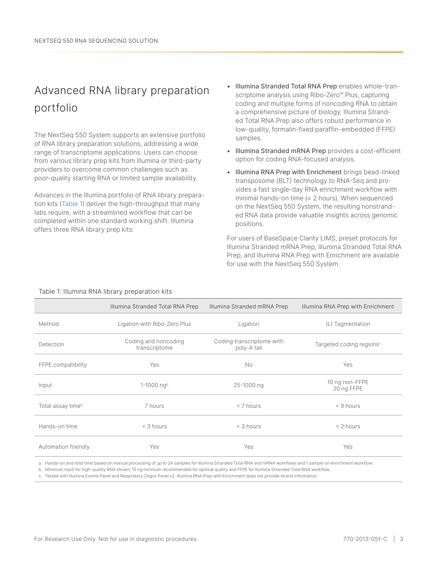# Advanced RNA library preparation portfolio

The NextSeq 550 System supports an extensive portfolio of RNA library preparation solutions, addressing a wide range of transcriptome applications. Users can choose from various library prep kits from Illumina or third-party providers to overcome common challenges such as poor-quality starting RNA or limited sample availability.

Advances in the Illumina portfolio of RNA library preparation kits (Table 1) deliver the high-throughput that many labs require, with a streamlined workflow that can be completed within one standard working shift. Illumina offers three RNA library prep kits:

- Illumina Stranded Total RNA Prep enables whole-transcriptome analysis using Ribo-Zero™ Plus, capturing coding and multiple forms of noncoding RNA to obtain a comprehensive picture of biology. Illumina Stranded Total RNA Prep also offers robust performance in low-quality, formalin-fixed paraffin-embedded (FFPE) samples.
- Illumina Stranded mRNA Prep provides a cost-efficient option for coding RNA-focused analysis.
- Illumina RNA Prep with Enrichment brings bead-linked transposome (BLT) technology to RNA-Seq and provides a fast single-day RNA enrichment workflow with minimal hands-on time (< 2 hours). When sequenced on the NextSeq 550 System, the resulting nonstranded RNA data provide valuable insights across genomic positions.

For users of BaseSpace Clarity LIMS, preset protocols for Illumina Stranded mRNA Prep, Illumina Stranded Total RNA Prep, and Illumina RNA Prep with Enrichment are available for use with the NextSeq 550 System.

|                               | Illumina Stranded Total RNA Prep      | Illumina Stranded mRNA Prep              | Illumina RNA Prep with Enrichment    |
|-------------------------------|---------------------------------------|------------------------------------------|--------------------------------------|
| Method                        | Ligation with Ribo-Zero Plus          | Ligation                                 | (L) Tagmentation                     |
| Detection                     | Coding and noncoding<br>transcriptome | Coding transcriptome with<br>poly-A tail | Targeted coding regions <sup>c</sup> |
| FFPE compatibility            | Yes                                   | <b>No</b>                                | Yes                                  |
| Input                         | 1-1000 ngb                            | 25-1000 ng                               | 10 ng non-FFPE<br>20 ng FFPE         |
| Total assay time <sup>a</sup> | 7 hours                               | $<$ 7 hours                              | $<$ 9 hours                          |
| Hands-on time                 | $<$ 3 hours                           | $<$ 3 hours                              | $< 2$ hours                          |
| Automation friendly           | Yes                                   | Yes                                      | Yes                                  |

#### Table 1: Illumina RNA library preparation kits

a. Hands-on and total time based on manual processing of up to 24 samples for Illumina Stranded Total RNA and mRNA workflows and 1 sample on enrichment workflow.

b. Minimum input for high-quality RNA shown; 10 ng minimum recommended for optimal quality and FFPE for Illumina Stranded Total RNA workflow.

c. Tested with Illumina Exome Panel and Respiratory Oligos Panel v2. Illumina RNA Prep with Enrichment does not provide strand information.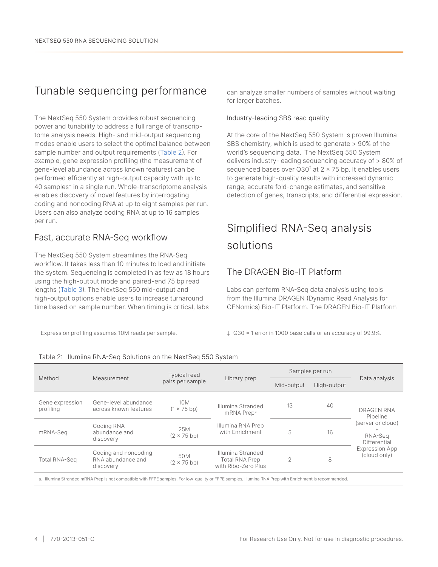## Tunable sequencing performance

The NextSeq 550 System provides robust sequencing power and tunability to address a full range of transcriptome analysis needs. High- and mid-output sequencing modes enable users to select the optimal balance between sample number and output requirements (Table 2). For example, gene expression profiling (the measurement of gene-level abundance across known features) can be performed efficiently at high-output capacity with up to 40 samples† in a single run. Whole-transcriptome analysis enables discovery of novel features by interrogating coding and noncoding RNA at up to eight samples per run. Users can also analyze coding RNA at up to 16 samples per run.

## Fast, accurate RNA-Seq workflow

† Expression profiling assumes 10M reads per sample.

The NextSeq 550 System streamlines the RNA-Seq workflow. It takes less than 10 minutes to load and initiate the system. Sequencing is completed in as few as 18 hours using the high-output mode and paired-end 75 bp read lengths ([Table 3](#page-4-0)). The NextSeq 550 mid-output and high-output options enable users to increase turnaround time based on sample number. When timing is critical, labs

can analyze smaller numbers of samples without waiting for larger batches.

#### Industry-leading SBS read quality

At the core of the NextSeq 550 System is proven Illumina SBS chemistry, which is used to generate > 90% of the world's sequencing data[.1](#page-5-0) The NextSeq 550 System delivers industry-leading sequencing accuracy of > 80% of sequenced bases over Q30<sup>‡</sup> at 2 × 75 bp. It enables users to generate high-quality results with increased dynamic range, accurate fold-change estimates, and sensitive detection of genes, transcripts, and differential expression.

# Simplified RNA-Seq analysis solutions

### The DRAGEN Bio-IT Platform

Labs can perform RNA-Seq data analysis using tools from the Illumina DRAGEN (Dynamic Read Analysis for GENomics) Bio-IT Platform. The DRAGEN Bio-IT Platform

‡ Q30 = 1 error in 1000 base calls or an accuracy of 99.9%.

| Method                       | Measurement                                                                                                                                            | <b>Typical read</b><br>pairs per sample | Library prep                                                      | Samples per run |             |                                                        |  |
|------------------------------|--------------------------------------------------------------------------------------------------------------------------------------------------------|-----------------------------------------|-------------------------------------------------------------------|-----------------|-------------|--------------------------------------------------------|--|
|                              |                                                                                                                                                        |                                         |                                                                   | Mid-output      | High-output | Data analysis                                          |  |
| Gene expression<br>profiling | Gene-level abundance<br>across known features                                                                                                          | 10 <sub>M</sub><br>$(1 \times 75$ bp)   | Illumina Stranded<br>mRNA Prep <sup>a</sup>                       | 13              | 40          | DRAGEN RNA<br>Pipeline                                 |  |
| mRNA-Seq                     | Coding RNA<br>abundance and<br>discovery                                                                                                               | 25M<br>$(2 \times 75$ bp)               | Illumina RNA Prep<br>with Enrichment                              | 5               | 16          | (server or cloud)<br>$^{+}$<br>RNA-Seq<br>Differential |  |
| <b>Total RNA-Seq</b>         | Coding and noncoding<br>RNA abundance and<br>discovery                                                                                                 | 50M<br>$(2 \times 75$ bp)               | Illumina Stranded<br><b>Total RNA Prep</b><br>with Ribo-Zero Plus | $\overline{2}$  | 8           | Expression App<br>(cloud only)                         |  |
|                              | a. Illumina Stranded mRNA Prep is not compatible with FFPE samples. For low-quality or FFPE samples, Illumina RNA Prep with Enrichment is recommended. |                                         |                                                                   |                 |             |                                                        |  |

Table 2: Illumiina RNA-Seq Solutions on the NextSeq 550 System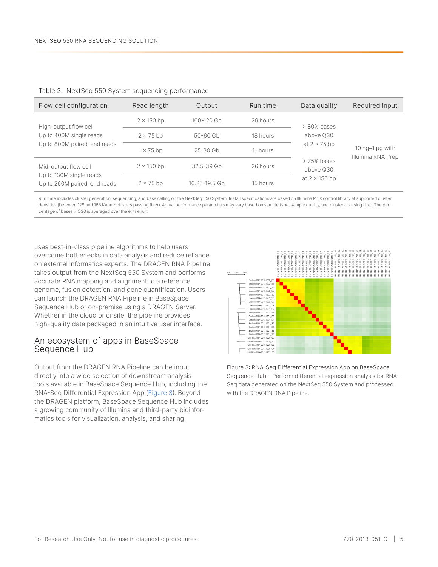| Flow cell configuration                                | Read length       | Output         | Run time | Data quality             | Required input                                      |
|--------------------------------------------------------|-------------------|----------------|----------|--------------------------|-----------------------------------------------------|
| High-output flow cell                                  | $2 \times 150$ bp | 100-120 Gb     | 29 hours | $>80\%$ bases            | $10 \text{ nq-1}$ $\mu$ g with<br>Illumina RNA Prep |
| Up to 400M single reads                                | $2 \times 75$ bp  | $50 - 60$ Gb   | 18 hours | above Q30                |                                                     |
| Up to 800M paired-end reads                            | $1 \times 75$ bp  | $25 - 30$ Gb   | 11 hours | at $2 \times 75$ bp      |                                                     |
| Mid-output flow cell                                   | $2 \times 150$ bp | $32.5 - 39$ Gb | 26 hours | > 75% bases<br>above Q30 |                                                     |
| Up to 130M single reads<br>Up to 260M paired-end reads | $2 \times 75$ bp  | 16.25-19.5 Gb  | 15 hours | at $2 \times 150$ bp     |                                                     |

#### <span id="page-4-0"></span>Table 3: NextSeq 550 System sequencing performance

Run time includes cluster generation, sequencing, and base calling on the NextSeq 550 System. Install specifications are based on Illumina PhiX control library at supported cluster densities (between 129 and 165 K/mm<sup>2</sup> clusters passing filter). Actual performance parameters may vary based on sample type, sample quality, and clusters passing filter. The percentage of bases > Q30 is averaged over the entire run.

uses best-in-class pipeline algorithms to help users overcome bottlenecks in data analysis and reduce reliance on external informatics experts. The DRAGEN RNA Pipeline takes output from the NextSeq 550 System and performs accurate RNA mapping and alignment to a reference genome, fusion detection, and gene quantification. Users can launch the DRAGEN RNA Pipeline in BaseSpace Sequence Hub or on-premise using a DRAGEN Server. Whether in the cloud or onsite, the pipeline provides high-quality data packaged in an intuitive user interface.

### An ecosystem of apps in BaseSpace Sequence Hub

Output from the DRAGEN RNA Pipeline can be input directly into a wide selection of downstream analysis tools available in BaseSpace Sequence Hub, including the RNA-Seq Differential Expression App (Figure 3). Beyond the DRAGEN platform, BaseSpace Sequence Hub includes a growing community of Illumina and third-party bioinformatics tools for visualization, analysis, and sharing.



Figure 3: RNA-Seq Differential Expression App on BaseSpace Sequence Hub—Perform differential expression analysis for RNA-Seq data generated on the NextSeq 550 System and processed with the DRAGEN RNA Pipeline.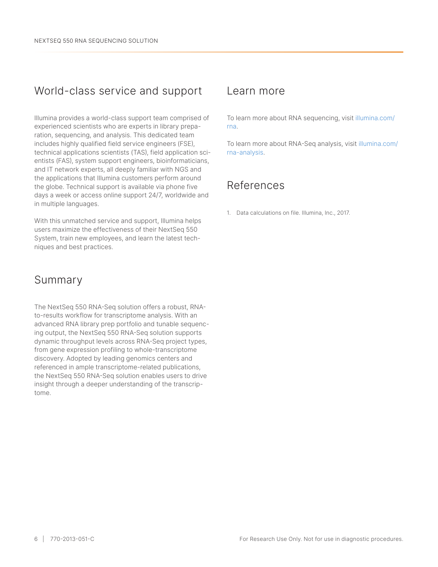## World-class service and support

Illumina provides a world-class support team comprised of experienced scientists who are experts in library preparation, sequencing, and analysis. This dedicated team includes highly qualified field service engineers (FSE), technical applications scientists (TAS), field application scientists (FAS), system support engineers, bioinformaticians, and IT network experts, all deeply familiar with NGS and the applications that Illumina customers perform around the globe. Technical support is available via phone five days a week or access online support 24/7, worldwide and in multiple languages.

With this unmatched service and support, Illumina helps users maximize the effectiveness of their NextSeq 550 System, train new employees, and learn the latest techniques and best practices.

## Summary

The NextSeq 550 RNA-Seq solution offers a robust, RNAto-results workflow for transcriptome analysis. With an advanced RNA library prep portfolio and tunable sequencing output, the NextSeq 550 RNA-Seq solution supports dynamic throughput levels across RNA-Seq project types, from gene expression profiling to whole-transcriptome discovery. Adopted by leading genomics centers and referenced in ample transcriptome-related publications, the NextSeq 550 RNA-Seq solution enables users to drive insight through a deeper understanding of the transcriptome.

## Learn more

To learn more about RNA sequencing, visit illumina.com/ rna.

To learn more about RNA-Seq analysis, visit illumina.com/ rna-analysis.

## References

<span id="page-5-0"></span>1. Data calculations on file. Illumina, Inc., 2017.